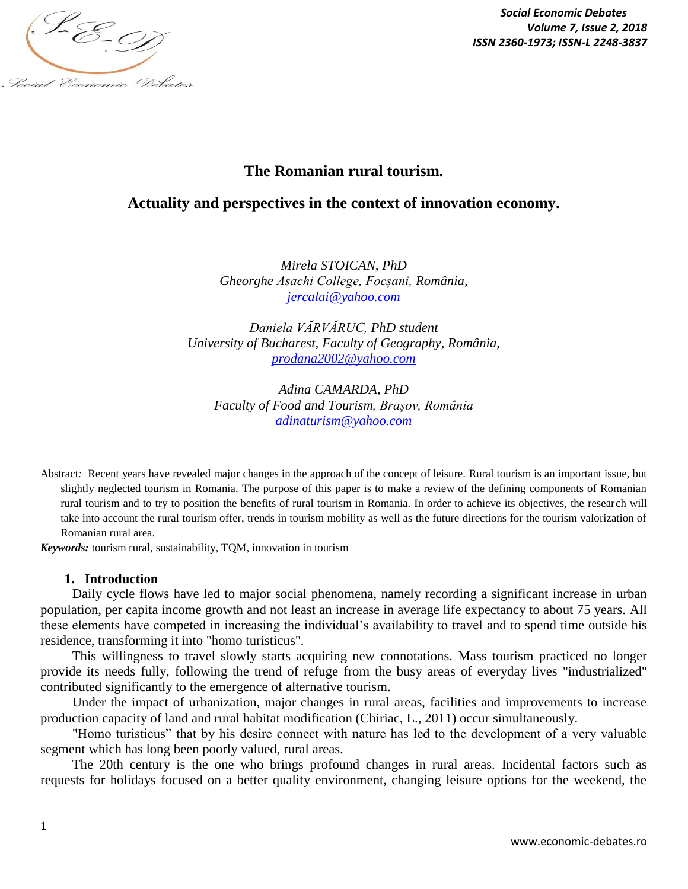

*Social Economic Debates Volume 7, Issue 2, 2018*

# **The Romanian rural tourism.**

# **Actuality and perspectives in the context of innovation economy.**

*Mirela STOICAN, PhD Gheorghe Asachi College, Focșani, România, jercalai@yahoo.com*

*Daniela VĂRVĂRUC, PhD student University of Bucharest, Faculty of Geography, România, prodana2002@yahoo.com*

*Adina CAMARDA, PhD Faculty of Food and Tourism, Braşov, România adinaturism@yahoo.com*

Abstract*:* Recent years have revealed major changes in the approach of the concept of leisure. Rural tourism is an important issue, but slightly neglected tourism in Romania. The purpose of this paper is to make a review of the defining components of Romanian rural tourism and to try to position the benefits of rural tourism in Romania. In order to achieve its objectives, the research will take into account the rural tourism offer, trends in tourism mobility as well as the future directions for the tourism valorization of Romanian rural area.

*Keywords:* tourism rural, sustainability, TQM, innovation in tourism

#### **1. Introduction**

Daily cycle flows have led to major social phenomena, namely recording a significant increase in urban population, per capita income growth and not least an increase in average life expectancy to about 75 years. All these elements have competed in increasing the individual's availability to travel and to spend time outside his residence, transforming it into "homo turisticus".

This willingness to travel slowly starts acquiring new connotations. Mass tourism practiced no longer provide its needs fully, following the trend of refuge from the busy areas of everyday lives "industrialized" contributed significantly to the emergence of alternative tourism.

Under the impact of urbanization, major changes in rural areas, facilities and improvements to increase production capacity of land and rural habitat modification (Chiriac, L., 2011) occur simultaneously.

"Homo turisticus" that by his desire connect with nature has led to the development of a very valuable segment which has long been poorly valued, rural areas.

The 20th century is the one who brings profound changes in rural areas. Incidental factors such as requests for holidays focused on a better quality environment, changing leisure options for the weekend, the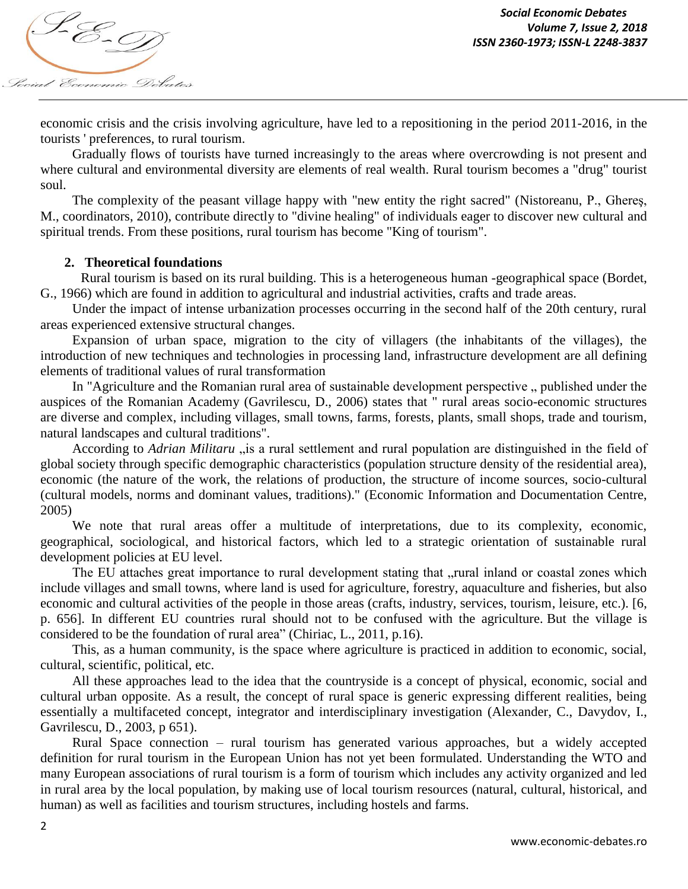

economic crisis and the crisis involving agriculture, have led to a repositioning in the period 2011-2016, in the tourists ' preferences, to rural tourism.

Gradually flows of tourists have turned increasingly to the areas where overcrowding is not present and where cultural and environmental diversity are elements of real wealth. Rural tourism becomes a "drug" tourist soul.

The complexity of the peasant village happy with "new entity the right sacred" (Nistoreanu, P., Ghereş, M., coordinators, 2010), contribute directly to "divine healing" of individuals eager to discover new cultural and spiritual trends. From these positions, rural tourism has become "King of tourism".

### **2. Theoretical foundations**

Rural tourism is based on its rural building. This is a heterogeneous human -geographical space (Bordet, G., 1966) which are found in addition to agricultural and industrial activities, crafts and trade areas.

Under the impact of intense urbanization processes occurring in the second half of the 20th century, rural areas experienced extensive structural changes.

Expansion of urban space, migration to the city of villagers (the inhabitants of the villages), the introduction of new techniques and technologies in processing land, infrastructure development are all defining elements of traditional values of rural transformation

In "Agriculture and the Romanian rural area of sustainable development perspective " published under the auspices of the Romanian Academy (Gavrilescu, D., 2006) states that " rural areas socio-economic structures are diverse and complex, including villages, small towns, farms, forests, plants, small shops, trade and tourism, natural landscapes and cultural traditions".

According to *Adrian Militaru* "is a rural settlement and rural population are distinguished in the field of global society through specific demographic characteristics (population structure density of the residential area), economic (the nature of the work, the relations of production, the structure of income sources, socio-cultural (cultural models, norms and dominant values, traditions)." (Economic Information and Documentation Centre, 2005)

We note that rural areas offer a multitude of interpretations, due to its complexity, economic, geographical, sociological, and historical factors, which led to a strategic orientation of sustainable rural development policies at EU level.

The EU attaches great importance to rural development stating that "rural inland or coastal zones which include villages and small towns, where land is used for agriculture, forestry, aquaculture and fisheries, but also economic and cultural activities of the people in those areas (crafts, industry, services, tourism, leisure, etc.). [6, p. 656]. In different EU countries rural should not to be confused with the agriculture. But the village is considered to be the foundation of rural area" (Chiriac, L., 2011, p.16).

This, as a human community, is the space where agriculture is practiced in addition to economic, social, cultural, scientific, political, etc.

All these approaches lead to the idea that the countryside is a concept of physical, economic, social and cultural urban opposite. As a result, the concept of rural space is generic expressing different realities, being essentially a multifaceted concept, integrator and interdisciplinary investigation (Alexander, C., Davydov, I., Gavrilescu, D., 2003, p 651).

Rural Space connection – rural tourism has generated various approaches, but a widely accepted definition for rural tourism in the European Union has not yet been formulated. Understanding the WTO and many European associations of rural tourism is a form of tourism which includes any activity organized and led in rural area by the local population, by making use of local tourism resources (natural, cultural, historical, and human) as well as facilities and tourism structures, including hostels and farms.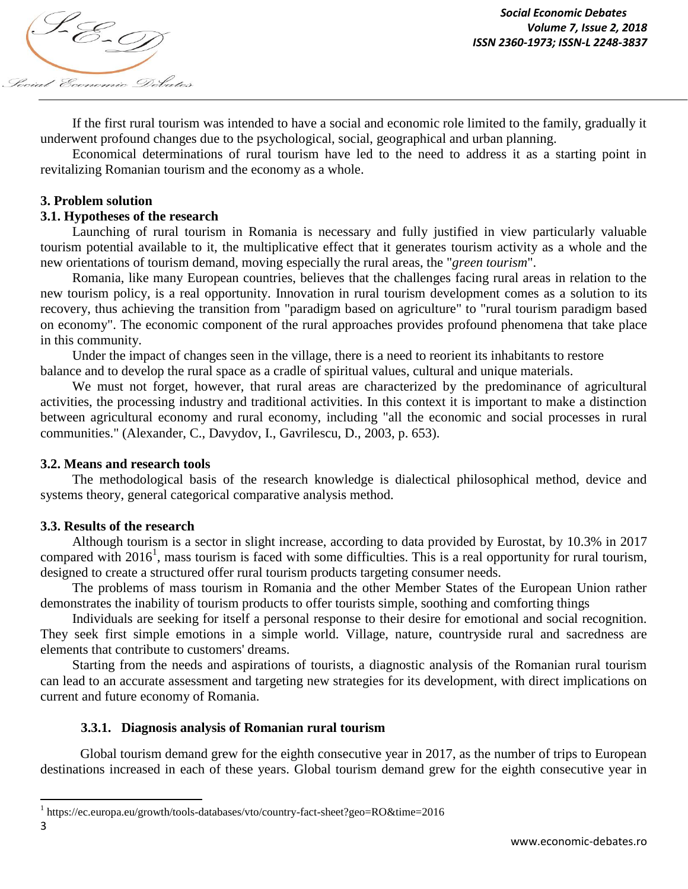*Volume 7, ISSN 2360-1973; ISSN-L 2248-3837*<br>ISSN 2360-1973; ISSN-L 2248-3837 Social Economic Debates

If the first rural tourism was intended to have a social and economic role limited to the family, gradually it underwent profound changes due to the psychological, social, geographical and urban planning.

Economical determinations of rural tourism have led to the need to address it as a starting point in revitalizing Romanian tourism and the economy as a whole.

### **3. Problem solution**

### **3.1. Hypotheses of the research**

Launching of rural tourism in Romania is necessary and fully justified in view particularly valuable tourism potential available to it, the multiplicative effect that it generates tourism activity as a whole and the new orientations of tourism demand, moving especially the rural areas, the "*green tourism*".

Romania, like many European countries, believes that the challenges facing rural areas in relation to the new tourism policy, is a real opportunity. Innovation in rural tourism development comes as a solution to its recovery, thus achieving the transition from "paradigm based on agriculture" to "rural tourism paradigm based on economy". The economic component of the rural approaches provides profound phenomena that take place in this community.

Under the impact of changes seen in the village, there is a need to reorient its inhabitants to restore balance and to develop the rural space as a cradle of spiritual values, cultural and unique materials.

We must not forget, however, that rural areas are characterized by the predominance of agricultural activities, the processing industry and traditional activities. In this context it is important to make a distinction between agricultural economy and rural economy, including "all the economic and social processes in rural communities." (Alexander, C., Davydov, I., Gavrilescu, D., 2003, p. 653).

#### **3.2. Means and research tools**

The methodological basis of the research knowledge is dialectical philosophical method, device and systems theory, general categorical comparative analysis method.

### **3.3. Results of the research**

Although tourism is a sector in slight increase, according to data provided by Eurostat, by 10.3% in 2017 compared with 2016<sup>1</sup>, mass tourism is faced with some difficulties. This is a real opportunity for rural tourism, designed to create a structured offer rural tourism products targeting consumer needs.

The problems of mass tourism in Romania and the other Member States of the European Union rather demonstrates the inability of tourism products to offer tourists simple, soothing and comforting things

Individuals are seeking for itself a personal response to their desire for emotional and social recognition. They seek first simple emotions in a simple world. Village, nature, countryside rural and sacredness are elements that contribute to customers' dreams.

Starting from the needs and aspirations of tourists, a diagnostic analysis of the Romanian rural tourism can lead to an accurate assessment and targeting new strategies for its development, with direct implications on current and future economy of Romania.

### **3.3.1. Diagnosis analysis of Romanian rural tourism**

Global tourism demand grew for the eighth consecutive year in 2017, as the number of trips to European destinations increased in each of these years. Global tourism demand grew for the eighth consecutive year in

 $\overline{\phantom{a}}$ 

<sup>1</sup> https://ec.europa.eu/growth/tools-databases/vto/country-fact-sheet?geo=RO&time=2016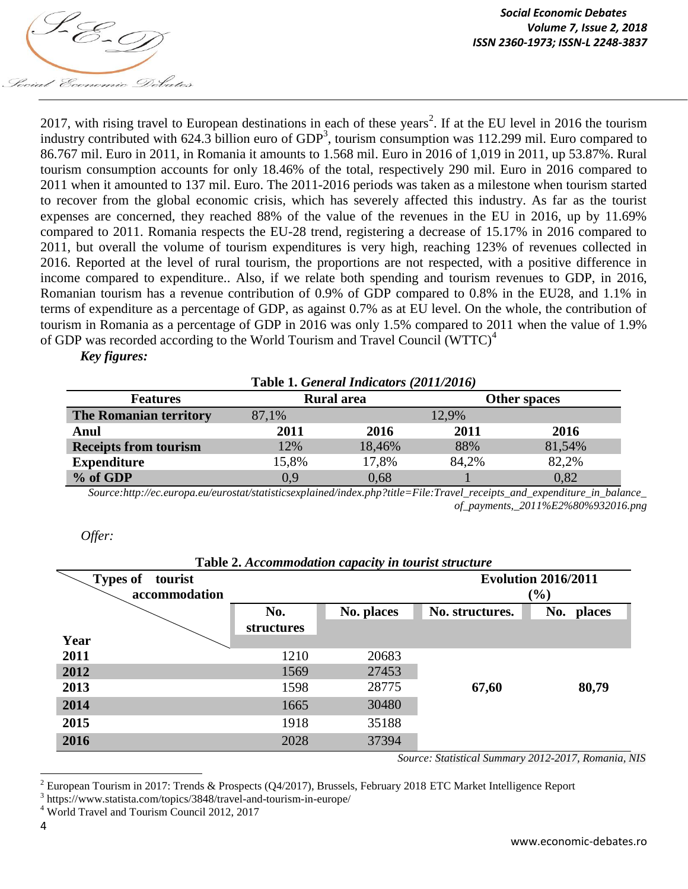

2017, with rising travel to European destinations in each of these years<sup>2</sup>. If at the EU level in 2016 the tourism industry contributed with 624.3 billion euro of  $GDP<sup>3</sup>$ , tourism consumption was 112.299 mil. Euro compared to 86.767 mil. Euro in 2011, in Romania it amounts to 1.568 mil. Euro in 2016 of 1,019 in 2011, up 53.87%. Rural tourism consumption accounts for only 18.46% of the total, respectively 290 mil. Euro in 2016 compared to 2011 when it amounted to 137 mil. Euro. The 2011-2016 periods was taken as a milestone when tourism started to recover from the global economic crisis, which has severely affected this industry. As far as the tourist expenses are concerned, they reached 88% of the value of the revenues in the EU in 2016, up by 11.69% compared to 2011. Romania respects the EU-28 trend, registering a decrease of 15.17% in 2016 compared to 2011, but overall the volume of tourism expenditures is very high, reaching 123% of revenues collected in 2016. Reported at the level of rural tourism, the proportions are not respected, with a positive difference in income compared to expenditure.. Also, if we relate both spending and tourism revenues to GDP, in 2016, Romanian tourism has a revenue contribution of 0.9% of GDP compared to 0.8% in the EU28, and 1.1% in terms of expenditure as a percentage of GDP, as against 0.7% as at EU level. On the whole, the contribution of tourism in Romania as a percentage of GDP in 2016 was only 1.5% compared to 2011 when the value of 1.9% of GDP was recorded according to the World Tourism and Travel Council (WTTC)<sup>4</sup>

## *Key figures:*

| Table 1. General Indicators (2011/2016) |       |                   |              |        |  |  |  |  |  |
|-----------------------------------------|-------|-------------------|--------------|--------|--|--|--|--|--|
| <b>Features</b>                         |       | <b>Rural</b> area | Other spaces |        |  |  |  |  |  |
| The Romanian territory                  | 87,1% | 12,9%             |              |        |  |  |  |  |  |
| Anul                                    | 2011  | 2016              | 2011         | 2016   |  |  |  |  |  |
| <b>Receipts from tourism</b>            | 12%   | 18,46%            | 88%          | 81,54% |  |  |  |  |  |
| <b>Expenditure</b>                      | 15,8% | 17,8%             | 84.2%        | 82,2%  |  |  |  |  |  |
| % of GDP                                | 0.9   | 0,68              |              | 0.82   |  |  |  |  |  |

*Source:http://ec.europa.eu/eurostat/statisticsexplained/index.php?title=File:Travel\_receipts\_and\_expenditure\_in\_balance\_ of\_payments,\_2011%E2%80%932016.png*

#### *Offer:*

| <b>Lavic 2.</b> Accommodation capacity in tourist structure |            |            |                 |            |  |  |  |  |  |  |
|-------------------------------------------------------------|------------|------------|-----------------|------------|--|--|--|--|--|--|
| <b>Types of</b><br>tourist                                  |            |            |                 |            |  |  |  |  |  |  |
| accommodation                                               |            | (%)        |                 |            |  |  |  |  |  |  |
|                                                             | No.        | No. places | No. structures. | No. places |  |  |  |  |  |  |
|                                                             | structures |            |                 |            |  |  |  |  |  |  |
| Year                                                        |            |            |                 |            |  |  |  |  |  |  |
| 2011                                                        | 1210       | 20683      |                 |            |  |  |  |  |  |  |
| 2012                                                        | 1569       | 27453      |                 |            |  |  |  |  |  |  |
| 2013                                                        | 1598       | 28775      | 67,60           | 80,79      |  |  |  |  |  |  |
| 2014                                                        | 1665       | 30480      |                 |            |  |  |  |  |  |  |
| 2015                                                        | 1918       | 35188      |                 |            |  |  |  |  |  |  |
| 2016                                                        | 2028       | 37394      |                 |            |  |  |  |  |  |  |

**Table 2.** *Accommodation capacity in tourist structure*

*Source: Statistical Summary 2012-2017, Romania, NIS*

 $\overline{\phantom{a}}$ 

<sup>&</sup>lt;sup>2</sup> European Tourism in 2017: Trends & Prospects (Q4/2017), Brussels, February 2018 ETC Market Intelligence Report

<sup>3</sup> https://www.statista.com/topics/3848/travel-and-tourism-in-europe/

<sup>4</sup> World Travel and Tourism Council 2012, 2017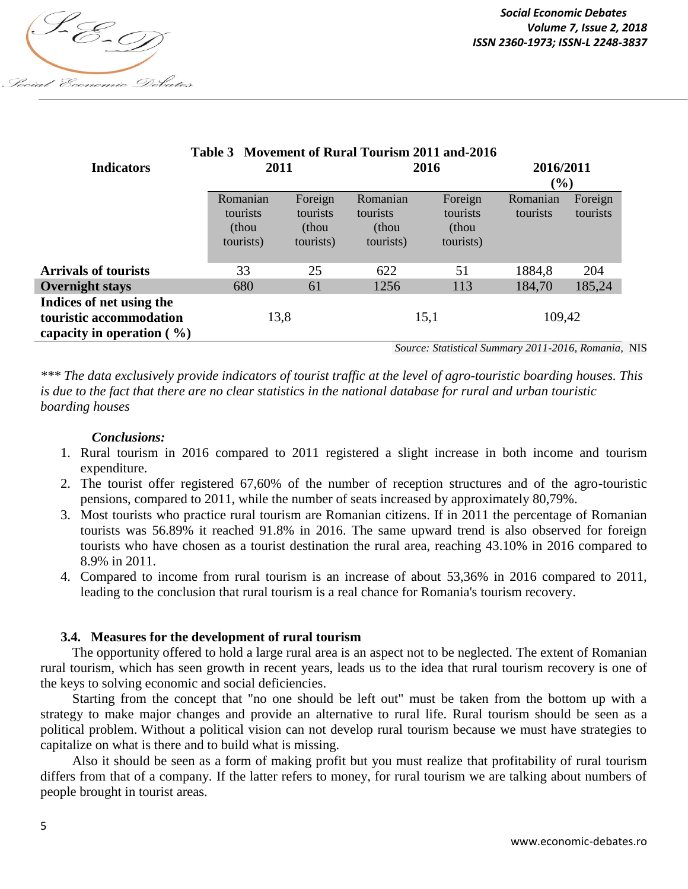

| Table 3 Movement of Rural Tourism 2011 and -2016 |           |           |           |           |           |          |  |  |  |  |
|--------------------------------------------------|-----------|-----------|-----------|-----------|-----------|----------|--|--|--|--|
| <b>Indicators</b>                                | 2011      |           | 2016      |           | 2016/2011 |          |  |  |  |  |
|                                                  |           |           |           |           |           | $(\%)$   |  |  |  |  |
|                                                  | Romanian  | Foreign   | Romanian  | Foreign   | Romanian  | Foreign  |  |  |  |  |
|                                                  | tourists  | tourists  | tourists  | tourists  | tourists  | tourists |  |  |  |  |
|                                                  | (thou     | (thou     | (thou     | (thou     |           |          |  |  |  |  |
|                                                  | tourists) | tourists) | tourists) | tourists) |           |          |  |  |  |  |
|                                                  |           |           |           |           |           |          |  |  |  |  |
| <b>Arrivals of tourists</b>                      | 33        | 25        | 622       | 51        | 1884,8    | 204      |  |  |  |  |
| <b>Overnight stays</b>                           | 680       | 61        | 1256      | 113       | 184,70    | 185,24   |  |  |  |  |
| Indices of net using the                         |           |           |           |           |           |          |  |  |  |  |
| touristic accommodation                          | 13,8      |           | 15,1      |           | 109,42    |          |  |  |  |  |
| capacity in operation $(\% )$                    |           |           |           |           |           |          |  |  |  |  |

*Source: Statistical Summary 2011-2016, Romania,* NIS

*\*\*\* The data exclusively provide indicators of tourist traffic at the level of agro-touristic boarding houses. This is due to the fact that there are no clear statistics in the national database for rural and urban touristic boarding houses*

### *Conclusions:*

- 1. Rural tourism in 2016 compared to 2011 registered a slight increase in both income and tourism expenditure.
- 2. The tourist offer registered 67,60% of the number of reception structures and of the agro-touristic pensions, compared to 2011, while the number of seats increased by approximately 80,79%.
- 3. Most tourists who practice rural tourism are Romanian citizens. If in 2011 the percentage of Romanian tourists was 56.89% it reached 91.8% in 2016. The same upward trend is also observed for foreign tourists who have chosen as a tourist destination the rural area, reaching 43.10% in 2016 compared to 8.9% in 2011.
- 4. Compared to income from rural tourism is an increase of about 53,36% in 2016 compared to 2011, leading to the conclusion that rural tourism is a real chance for Romania's tourism recovery.

#### **3.4. Measures for the development of rural tourism**

The opportunity offered to hold a large rural area is an aspect not to be neglected. The extent of Romanian rural tourism, which has seen growth in recent years, leads us to the idea that rural tourism recovery is one of the keys to solving economic and social deficiencies.

Starting from the concept that "no one should be left out" must be taken from the bottom up with a strategy to make major changes and provide an alternative to rural life. Rural tourism should be seen as a political problem. Without a political vision can not develop rural tourism because we must have strategies to capitalize on what is there and to build what is missing.

Also it should be seen as a form of making profit but you must realize that profitability of rural tourism differs from that of a company. If the latter refers to money, for rural tourism we are talking about numbers of people brought in tourist areas.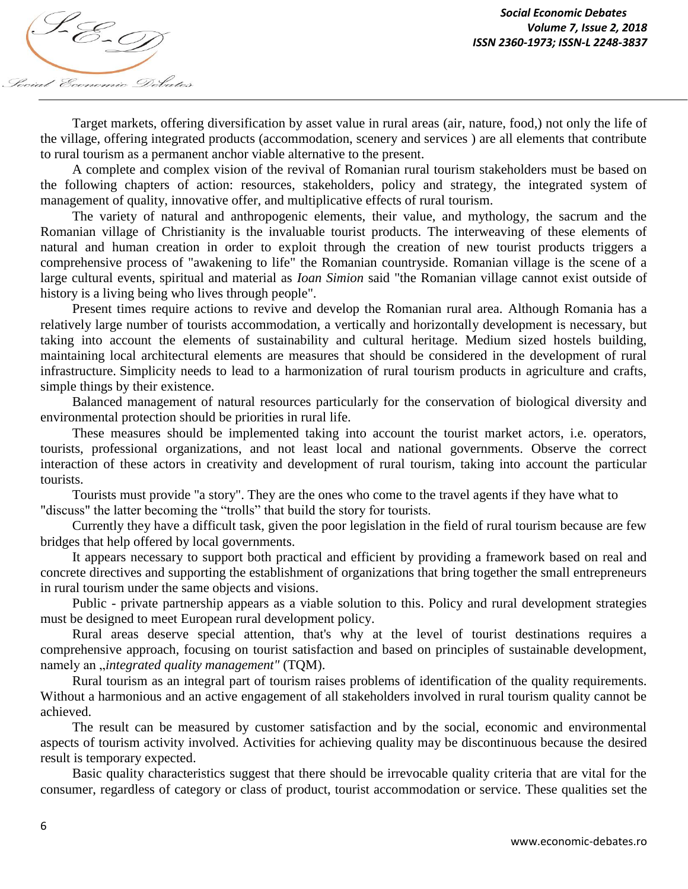

Target markets, offering diversification by asset value in rural areas (air, nature, food,) not only the life of the village, offering integrated products (accommodation, scenery and services ) are all elements that contribute to rural tourism as a permanent anchor viable alternative to the present.

A complete and complex vision of the revival of Romanian rural tourism stakeholders must be based on the following chapters of action: resources, stakeholders, policy and strategy, the integrated system of management of quality, innovative offer, and multiplicative effects of rural tourism.

The variety of natural and anthropogenic elements, their value, and mythology, the sacrum and the Romanian village of Christianity is the invaluable tourist products. The interweaving of these elements of natural and human creation in order to exploit through the creation of new tourist products triggers a comprehensive process of "awakening to life" the Romanian countryside. Romanian village is the scene of a large cultural events, spiritual and material as *Ioan Simion* said "the Romanian village cannot exist outside of history is a living being who lives through people".

Present times require actions to revive and develop the Romanian rural area. Although Romania has a relatively large number of tourists accommodation, a vertically and horizontally development is necessary, but taking into account the elements of sustainability and cultural heritage. Medium sized hostels building, maintaining local architectural elements are measures that should be considered in the development of rural infrastructure. Simplicity needs to lead to a harmonization of rural tourism products in agriculture and crafts, simple things by their existence.

Balanced management of natural resources particularly for the conservation of biological diversity and environmental protection should be priorities in rural life.

These measures should be implemented taking into account the tourist market actors, i.e. operators, tourists, professional organizations, and not least local and national governments. Observe the correct interaction of these actors in creativity and development of rural tourism, taking into account the particular tourists.

Tourists must provide "a story". They are the ones who come to the travel agents if they have what to "discuss" the latter becoming the "trolls" that build the story for tourists.

Currently they have a difficult task, given the poor legislation in the field of rural tourism because are few bridges that help offered by local governments.

It appears necessary to support both practical and efficient by providing a framework based on real and concrete directives and supporting the establishment of organizations that bring together the small entrepreneurs in rural tourism under the same objects and visions.

Public - private partnership appears as a viable solution to this. Policy and rural development strategies must be designed to meet European rural development policy.

Rural areas deserve special attention, that's why at the level of tourist destinations requires a comprehensive approach, focusing on tourist satisfaction and based on principles of sustainable development, namely an *"integrated quality management"* (TQM).

Rural tourism as an integral part of tourism raises problems of identification of the quality requirements. Without a harmonious and an active engagement of all stakeholders involved in rural tourism quality cannot be achieved.

The result can be measured by customer satisfaction and by the social, economic and environmental aspects of tourism activity involved. Activities for achieving quality may be discontinuous because the desired result is temporary expected.

Basic quality characteristics suggest that there should be irrevocable quality criteria that are vital for the consumer, regardless of category or class of product, tourist accommodation or service. These qualities set the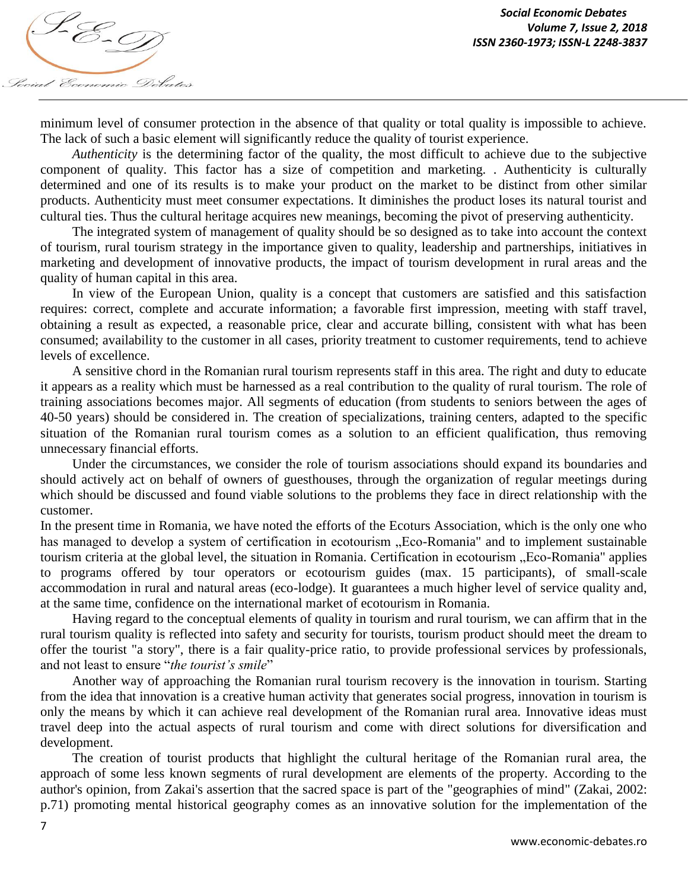

minimum level of consumer protection in the absence of that quality or total quality is impossible to achieve. The lack of such a basic element will significantly reduce the quality of tourist experience.

*Authenticity* is the determining factor of the quality, the most difficult to achieve due to the subjective component of quality. This factor has a size of competition and marketing. . Authenticity is culturally determined and one of its results is to make your product on the market to be distinct from other similar products. Authenticity must meet consumer expectations. It diminishes the product loses its natural tourist and cultural ties. Thus the cultural heritage acquires new meanings, becoming the pivot of preserving authenticity.

The integrated system of management of quality should be so designed as to take into account the context of tourism, rural tourism strategy in the importance given to quality, leadership and partnerships, initiatives in marketing and development of innovative products, the impact of tourism development in rural areas and the quality of human capital in this area.

In view of the European Union, quality is a concept that customers are satisfied and this satisfaction requires: correct, complete and accurate information; a favorable first impression, meeting with staff travel, obtaining a result as expected, a reasonable price, clear and accurate billing, consistent with what has been consumed; availability to the customer in all cases, priority treatment to customer requirements, tend to achieve levels of excellence.

A sensitive chord in the Romanian rural tourism represents staff in this area. The right and duty to educate it appears as a reality which must be harnessed as a real contribution to the quality of rural tourism. The role of training associations becomes major. All segments of education (from students to seniors between the ages of 40-50 years) should be considered in. The creation of specializations, training centers, adapted to the specific situation of the Romanian rural tourism comes as a solution to an efficient qualification, thus removing unnecessary financial efforts.

Under the circumstances, we consider the role of tourism associations should expand its boundaries and should actively act on behalf of owners of guesthouses, through the organization of regular meetings during which should be discussed and found viable solutions to the problems they face in direct relationship with the customer.

In the present time in Romania, we have noted the efforts of the Ecoturs Association, which is the only one who has managed to develop a system of certification in ecotourism "Eco-Romania" and to implement sustainable tourism criteria at the global level, the situation in Romania. Certification in ecotourism "Eco-Romania" applies to programs offered by tour operators or ecotourism guides (max. 15 participants), of small-scale accommodation in rural and natural areas (eco-lodge). It guarantees a much higher level of service quality and, at the same time, confidence on the international market of ecotourism in Romania.

Having regard to the conceptual elements of quality in tourism and rural tourism, we can affirm that in the rural tourism quality is reflected into safety and security for tourists, tourism product should meet the dream to offer the tourist "a story", there is a fair quality-price ratio, to provide professional services by professionals, and not least to ensure "*the tourist's smile*"

Another way of approaching the Romanian rural tourism recovery is the innovation in tourism. Starting from the idea that innovation is a creative human activity that generates social progress, innovation in tourism is only the means by which it can achieve real development of the Romanian rural area. Innovative ideas must travel deep into the actual aspects of rural tourism and come with direct solutions for diversification and development.

The creation of tourist products that highlight the cultural heritage of the Romanian rural area, the approach of some less known segments of rural development are elements of the property. According to the author's opinion, from Zakai's assertion that the sacred space is part of the "geographies of mind" (Zakai, 2002: p.71) promoting mental historical geography comes as an innovative solution for the implementation of the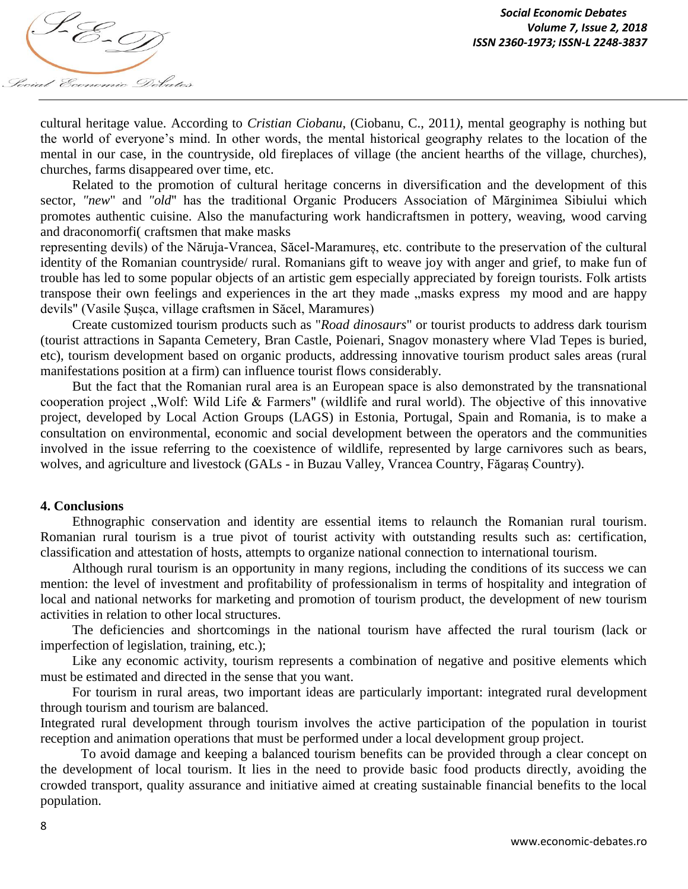

cultural heritage value. According to *Cristian Ciobanu*, (Ciobanu, C., 2011*)*, mental geography is nothing but the world of everyone's mind. In other words, the mental historical geography relates to the location of the mental in our case, in the countryside, old fireplaces of village (the ancient hearths of the village, churches), churches, farms disappeared over time, etc.

Related to the promotion of cultural heritage concerns in diversification and the development of this sector, *"new*" and *"old*" has the traditional Organic Producers Association of Mărginimea Sibiului which promotes authentic cuisine. Also the manufacturing work handicraftsmen in pottery, weaving, wood carving and draconomorfi( craftsmen that make masks

representing devils) of the Năruja-Vrancea, Săcel-Maramureș, etc. contribute to the preservation of the cultural identity of the Romanian countryside/ rural. Romanians gift to weave joy with anger and grief, to make fun of trouble has led to some popular objects of an artistic gem especially appreciated by foreign tourists. Folk artists transpose their own feelings and experiences in the art they made "masks express my mood and are happy" devils" (Vasile Șușca, village craftsmen in Săcel, Maramures)

Create customized tourism products such as "*Road dinosaurs*" or tourist products to address dark tourism (tourist attractions in Sapanta Cemetery, Bran Castle, Poienari, Snagov monastery where Vlad Tepes is buried, etc), tourism development based on organic products, addressing innovative tourism product sales areas (rural manifestations position at a firm) can influence tourist flows considerably.

But the fact that the Romanian rural area is an European space is also demonstrated by the transnational cooperation project "Wolf: Wild Life & Farmers" (wildlife and rural world). The objective of this innovative project, developed by Local Action Groups (LAGS) in Estonia, Portugal, Spain and Romania, is to make a consultation on environmental, economic and social development between the operators and the communities involved in the issue referring to the coexistence of wildlife, represented by large carnivores such as bears, wolves, and agriculture and livestock (GALs - in Buzau Valley, Vrancea Country, Făgaraș Country).

### **4. Conclusions**

Ethnographic conservation and identity are essential items to relaunch the Romanian rural tourism. Romanian rural tourism is a true pivot of tourist activity with outstanding results such as: certification, classification and attestation of hosts, attempts to organize national connection to international tourism.

Although rural tourism is an opportunity in many regions, including the conditions of its success we can mention: the level of investment and profitability of professionalism in terms of hospitality and integration of local and national networks for marketing and promotion of tourism product, the development of new tourism activities in relation to other local structures.

The deficiencies and shortcomings in the national tourism have affected the rural tourism (lack or imperfection of legislation, training, etc.);

Like any economic activity, tourism represents a combination of negative and positive elements which must be estimated and directed in the sense that you want.

For tourism in rural areas, two important ideas are particularly important: integrated rural development through tourism and tourism are balanced.

Integrated rural development through tourism involves the active participation of the population in tourist reception and animation operations that must be performed under a local development group project.

To avoid damage and keeping a balanced tourism benefits can be provided through a clear concept on the development of local tourism. It lies in the need to provide basic food products directly, avoiding the crowded transport, quality assurance and initiative aimed at creating sustainable financial benefits to the local population.